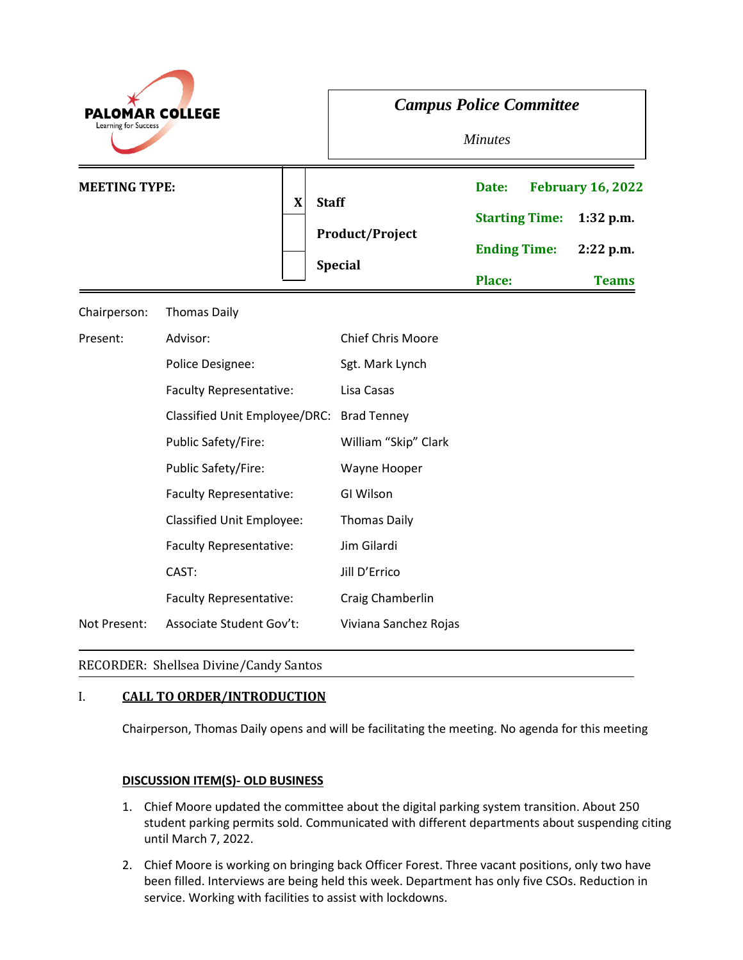| <b>PALOMAR COLLEGE</b><br>Learning for Success |                                  | <b>Campus Police Committee</b><br><b>Minutes</b>         |                                                                        |                                                                        |
|------------------------------------------------|----------------------------------|----------------------------------------------------------|------------------------------------------------------------------------|------------------------------------------------------------------------|
| <b>MEETING TYPE:</b>                           | $\mathbf X$                      | <b>Staff</b><br><b>Product/Project</b><br><b>Special</b> | Date:<br><b>Starting Time:</b><br><b>Ending Time:</b><br><b>Place:</b> | <b>February 16, 2022</b><br>$1:32$ p.m.<br>$2:22$ p.m.<br><b>Teams</b> |
| Chairperson:                                   | <b>Thomas Daily</b>              |                                                          |                                                                        |                                                                        |
| Present:                                       | Advisor:                         | <b>Chief Chris Moore</b>                                 |                                                                        |                                                                        |
|                                                | Police Designee:                 | Sgt. Mark Lynch                                          |                                                                        |                                                                        |
|                                                | <b>Faculty Representative:</b>   | Lisa Casas                                               |                                                                        |                                                                        |
|                                                | Classified Unit Employee/DRC:    | <b>Brad Tenney</b>                                       |                                                                        |                                                                        |
|                                                | Public Safety/Fire:              | William "Skip" Clark                                     |                                                                        |                                                                        |
|                                                | Public Safety/Fire:              | Wayne Hooper                                             |                                                                        |                                                                        |
|                                                | <b>Faculty Representative:</b>   | GI Wilson                                                |                                                                        |                                                                        |
|                                                | <b>Classified Unit Employee:</b> | <b>Thomas Daily</b>                                      |                                                                        |                                                                        |
|                                                | <b>Faculty Representative:</b>   | Jim Gilardi                                              |                                                                        |                                                                        |
|                                                | CAST:                            | Jill D'Errico                                            |                                                                        |                                                                        |
|                                                | <b>Faculty Representative:</b>   | Craig Chamberlin                                         |                                                                        |                                                                        |
| Not Present:                                   | Associate Student Gov't:         | Viviana Sanchez Rojas                                    |                                                                        |                                                                        |

# RECORDER: Shellsea Divine/Candy Santos

# I. **CALL TO ORDER/INTRODUCTION**

Chairperson, Thomas Daily opens and will be facilitating the meeting. No agenda for this meeting

## **DISCUSSION ITEM(S)- OLD BUSINESS**

- 1. Chief Moore updated the committee about the digital parking system transition. About 250 student parking permits sold. Communicated with different departments about suspending citing until March 7, 2022.
- 2. Chief Moore is working on bringing back Officer Forest. Three vacant positions, only two have been filled. Interviews are being held this week. Department has only five CSOs. Reduction in service. Working with facilities to assist with lockdowns.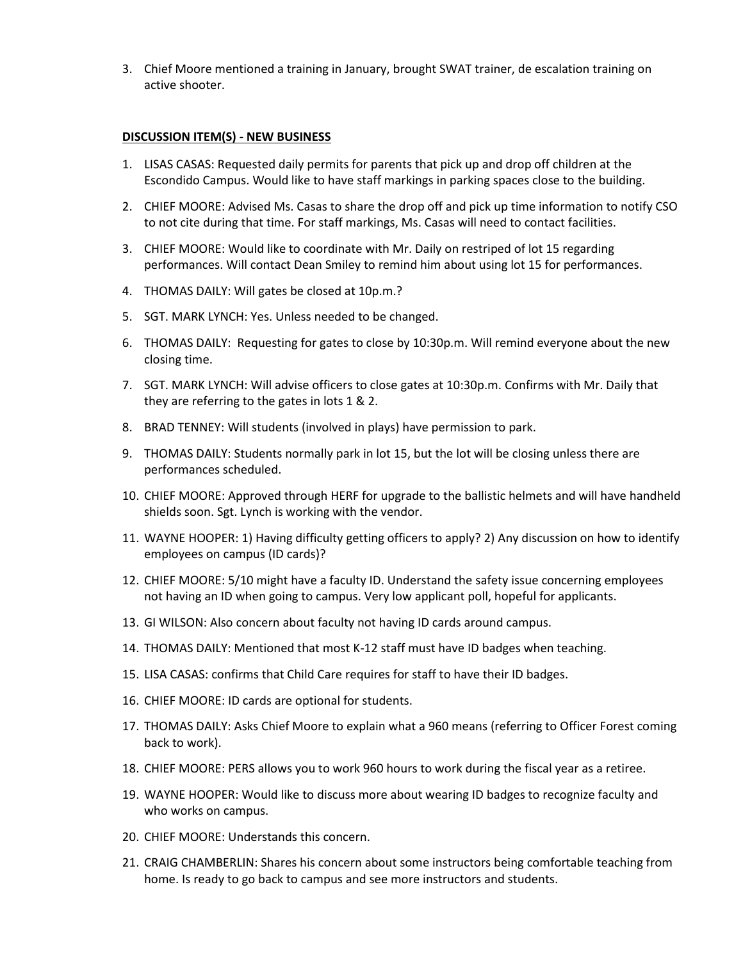3. Chief Moore mentioned a training in January, brought SWAT trainer, de escalation training on active shooter.

### **DISCUSSION ITEM(S) - NEW BUSINESS**

- 1. LISAS CASAS: Requested daily permits for parents that pick up and drop off children at the Escondido Campus. Would like to have staff markings in parking spaces close to the building.
- 2. CHIEF MOORE: Advised Ms. Casas to share the drop off and pick up time information to notify CSO to not cite during that time. For staff markings, Ms. Casas will need to contact facilities.
- 3. CHIEF MOORE: Would like to coordinate with Mr. Daily on restriped of lot 15 regarding performances. Will contact Dean Smiley to remind him about using lot 15 for performances.
- 4. THOMAS DAILY: Will gates be closed at 10p.m.?
- 5. SGT. MARK LYNCH: Yes. Unless needed to be changed.
- 6. THOMAS DAILY: Requesting for gates to close by 10:30p.m. Will remind everyone about the new closing time.
- 7. SGT. MARK LYNCH: Will advise officers to close gates at 10:30p.m. Confirms with Mr. Daily that they are referring to the gates in lots 1 & 2.
- 8. BRAD TENNEY: Will students (involved in plays) have permission to park.
- 9. THOMAS DAILY: Students normally park in lot 15, but the lot will be closing unless there are performances scheduled.
- 10. CHIEF MOORE: Approved through HERF for upgrade to the ballistic helmets and will have handheld shields soon. Sgt. Lynch is working with the vendor.
- 11. WAYNE HOOPER: 1) Having difficulty getting officers to apply? 2) Any discussion on how to identify employees on campus (ID cards)?
- 12. CHIEF MOORE: 5/10 might have a faculty ID. Understand the safety issue concerning employees not having an ID when going to campus. Very low applicant poll, hopeful for applicants.
- 13. GI WILSON: Also concern about faculty not having ID cards around campus.
- 14. THOMAS DAILY: Mentioned that most K-12 staff must have ID badges when teaching.
- 15. LISA CASAS: confirms that Child Care requires for staff to have their ID badges.
- 16. CHIEF MOORE: ID cards are optional for students.
- 17. THOMAS DAILY: Asks Chief Moore to explain what a 960 means (referring to Officer Forest coming back to work).
- 18. CHIEF MOORE: PERS allows you to work 960 hours to work during the fiscal year as a retiree.
- 19. WAYNE HOOPER: Would like to discuss more about wearing ID badges to recognize faculty and who works on campus.
- 20. CHIEF MOORE: Understands this concern.
- 21. CRAIG CHAMBERLIN: Shares his concern about some instructors being comfortable teaching from home. Is ready to go back to campus and see more instructors and students.